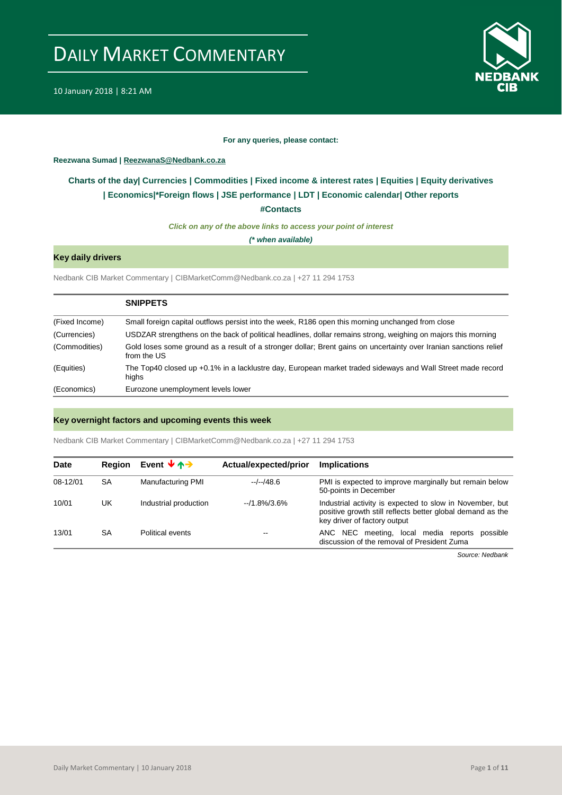

10 January 2018 | 8:21 AM

#### **For any queries, please contact:**

<span id="page-0-0"></span>**Reezwana Sumad | ReezwanaS@Nedbank.co.za**

### **Charts of the day| [Currencies](#page-2-0) [| Commodities](#page-3-0) | [Fixed income & interest rates](#page-1-0) | [Equities](#page-4-0) | Equity derivatives | [Economics|\\*](#page-7-0)Foreign flows [| JSE performance](#page-4-1) | [LDT](#page-5-0) | [Economic calendar|](#page-8-0) Other reports**

**[#Contacts](#page-9-0)**

*Click on any of the above links to access your point of interest*

*(\* when available)*

#### **Key daily drivers**

Nedbank CIB Market Commentary | CIBMarketComm@Nedbank.co.za | +27 11 294 1753

|                | <b>SNIPPETS</b>                                                                                                                  |
|----------------|----------------------------------------------------------------------------------------------------------------------------------|
| (Fixed Income) | Small foreign capital outflows persist into the week, R186 open this morning unchanged from close                                |
| (Currencies)   | USDZAR strengthens on the back of political headlines, dollar remains strong, weighing on majors this morning                    |
| (Commodities)  | Gold loses some ground as a result of a stronger dollar; Brent gains on uncertainty over Iranian sanctions relief<br>from the US |
| (Equities)     | The Top40 closed up +0.1% in a lacklustre day, European market traded sideways and Wall Street made record<br>highs              |
| (Economics)    | Eurozone unemployment levels lower                                                                                               |

#### **Key overnight factors and upcoming events this week**

Nedbank CIB Market Commentary | CIBMarketComm@Nedbank.co.za | +27 11 294 1753

| <b>Date</b> | <b>Region</b> | Event $\forall$ $\land \rightarrow$ | Actual/expected/prior | <b>Implications</b>                                                                                                                                    |
|-------------|---------------|-------------------------------------|-----------------------|--------------------------------------------------------------------------------------------------------------------------------------------------------|
| 08-12/01    | SA            | <b>Manufacturing PMI</b>            | $-/-/48.6$            | PMI is expected to improve marginally but remain below<br>50-points in December                                                                        |
| 10/01       | UK            | Industrial production               | $-1.8\%/3.6\%$        | Industrial activity is expected to slow in November, but<br>positive growth still reflects better global demand as the<br>key driver of factory output |
| 13/01       | SA            | Political events                    |                       | ANC NEC meeting, local media reports<br>possible<br>discussion of the removal of President Zuma                                                        |
|             |               |                                     |                       |                                                                                                                                                        |

*Source: Nedbank*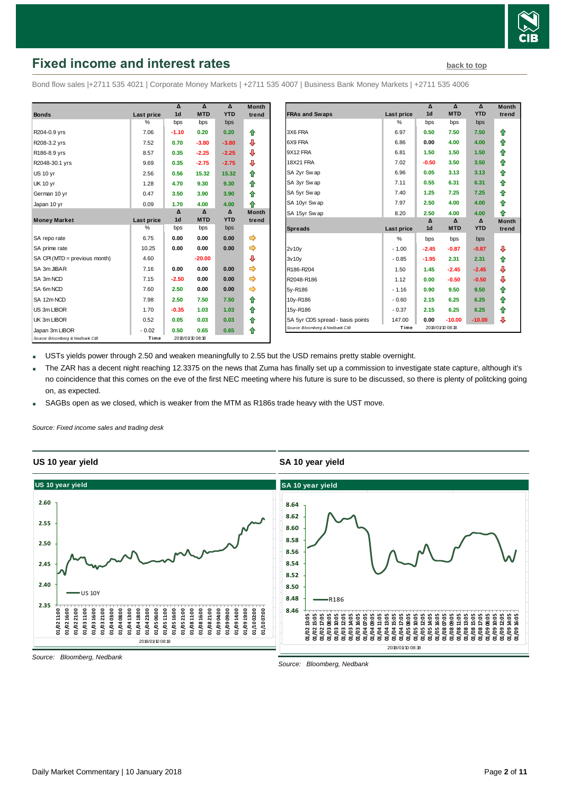

# <span id="page-1-0"></span>**Fixed income and interest rates [back to top](#page-0-0)** back to top

Bond flow sales |+2711 535 4021 | Corporate Money Markets | +2711 535 4007 | Business Bank Money Markets | +2711 535 4006

|                                 |               | Δ              | Δ                | Δ          | <b>Month</b> |
|---------------------------------|---------------|----------------|------------------|------------|--------------|
| <b>Bonds</b>                    | Last price    | 1 <sub>d</sub> | <b>MTD</b>       | <b>YTD</b> | trend        |
|                                 | $\%$          | bps            | bps              | bps        |              |
| R204-0.9 yrs                    | 7.06          | $-1.10$        | 0.20             | 0.20       | ⇑            |
| R208-3.2 yrs                    | 7.52          | 0.70           | $-3.80$          | $-3.80$    | ⊕            |
| R186-8.9 yrs                    | 8.57          | 0.35           | $-2.25$          | $-2.25$    | ⊕            |
| R2048-30.1 yrs                  | 9.69          | 0.35           | $-2.75$          | $-2.75$    | ⊕            |
| <b>US 10 yr</b>                 | 2.56          | 0.56           | 15.32            | 15.32      | ⇑            |
| <b>UK 10 yr</b>                 | 1.28          | 4.70           | 9.30             | 9.30       | ⇑            |
| German 10 yr                    | 0.47          | 3.50           | 3.90             | 3.90       | ♠            |
| Japan 10 yr                     | 0.09          | 1.70           | 4.00             | 4.00       | ♠            |
|                                 |               | Δ              | Δ                | Δ          | <b>Month</b> |
| <b>Money Market</b>             | Last price    | 1 <sub>d</sub> | <b>MTD</b>       | <b>YTD</b> | trend        |
|                                 | $\frac{0}{0}$ | bps            | bps              | bps        |              |
| SA repo rate                    | 6.75          | 0.00           | 0.00             | 0.00       | ⇛            |
| SA prime rate                   | 10.25         | 0.00           | 0.00             | 0.00       | ⇛            |
| SA CPI (MTD = previous month)   | 4.60          |                | $-20.00$         |            | ₽            |
| SA 3m JIBAR                     | 7.16          | 0.00           | 0.00             | 0.00       | ⇛            |
| SA 3m NCD                       | 7.15          | $-2.50$        | 0.00             | 0.00       | ⇛            |
| SA 6m NCD                       | 7.60          | 2.50           | 0.00             | 0.00       | ⇛            |
| SA 12m NCD                      | 7.98          | 2.50           | 7.50             | 7.50       | ⇑            |
| US 3m LIBOR                     | 1.70          | $-0.35$        | 1.03             | 1.03       | ♠            |
| UK 3m LIBOR                     | 0.52          | 0.05           | 0.03             | 0.03       | ⇑            |
| Japan 3m LIBOR                  | $-0.02$       | 0.50           | 0.65             | 0.65       | ⇑            |
| Source: Bloomberg & Nedbank CIB | Time          |                | 2018/01/10 08:18 |            |              |

|                                  |               | Δ              | Δ                | Δ          | <b>Month</b> |
|----------------------------------|---------------|----------------|------------------|------------|--------------|
| <b>FRAs and Swaps</b>            | Last price    | 1 <sub>d</sub> | <b>MTD</b>       | <b>YTD</b> | trend        |
|                                  | %             | bps            | bps              | bps        |              |
| 3X6 FRA                          | 6.97          | 0.50           | 7.50             | 7.50       | ⇑            |
| 6X9 FRA                          | 6.86          | 0.00           | 4.00             | 4.00       | ⇑            |
| 9X12 FRA                         | 6.81          | 1.50           | 1.50             | 1.50       | ⇑            |
| <b>18X21 FRA</b>                 | 7.02          | $-0.50$        | 3.50             | 3.50       | ⇑            |
| SA 2yr Swap                      | 6.96          | 0.05           | 3.13             | 3.13       | ⇑            |
| SA 3yr Swap                      | 7.11          | 0.55           | 6.31             | 6.31       | ⇑            |
| SA 5yr Swap                      | 7.40          | 1.25           | 7.25             | 7.25       | ⇑            |
| SA 10yr Swap                     | 7.97          | 2.50           | 4.00             | 4.00       | ⇑            |
| SA 15yr Swap                     | 8.20          | 2.50           | 4.00             | 4.00       | ♠            |
|                                  |               | Δ              | Δ                | $\Delta$   | <b>Month</b> |
| <b>Spreads</b>                   | Last price    | 1 <sub>d</sub> | <b>MTD</b>       | <b>YTD</b> | trend        |
|                                  | $\frac{0}{0}$ | bps            | bps              | bps        |              |
| 2v10v                            | $-1.00$       | $-2.45$        | $-0.87$          | $-0.87$    | ⊕            |
| 3v10v                            | $-0.85$       | $-1.95$        | 2.31             | 2.31       | ⇑            |
| R186-R204                        | 1.50          | 1.45           | $-2.45$          | $-2.45$    | ⊕            |
| R2048-R186                       | 1.12          | 0.00           | $-0.50$          | $-0.50$    | ⊕            |
| 5y-R186                          | $-1.16$       | 0.90           | 9.50             | 9.50       | ⇑            |
| 10y-R186                         | $-0.60$       | 2.15           | 6.25             | 6.25       | ⇑            |
| 15y-R186                         | $-0.37$       | 2.15           | 6.25             | 6.25       | ⇑            |
| SA 5yr CDS spread - basis points | 147.00        | 0.00           | $-10.00$         | $-10.00$   | ⊕            |
| Source: Bloomberg & Nedbank CIB  | Time          |                | 2018/01/10 08:18 |            |              |

USTs yields power through 2.50 and weaken meaningfully to 2.55 but the USD remains pretty stable overnight.

 The ZAR has a decent night reaching 12.3375 on the news that Zuma has finally set up a commission to investigate state capture, although it's no coincidence that this comes on the eve of the first NEC meeting where his future is sure to be discussed, so there is plenty of politcking going on, as expected.

**SA 10 year yield**

SAGBs open as we closed, which is weaker from the MTM as R186s trade heavy with the UST move.

*Source: Fixed income sales and trading desk*

#### **US 10 year yield**



*Source: Bloomberg, Nedbank*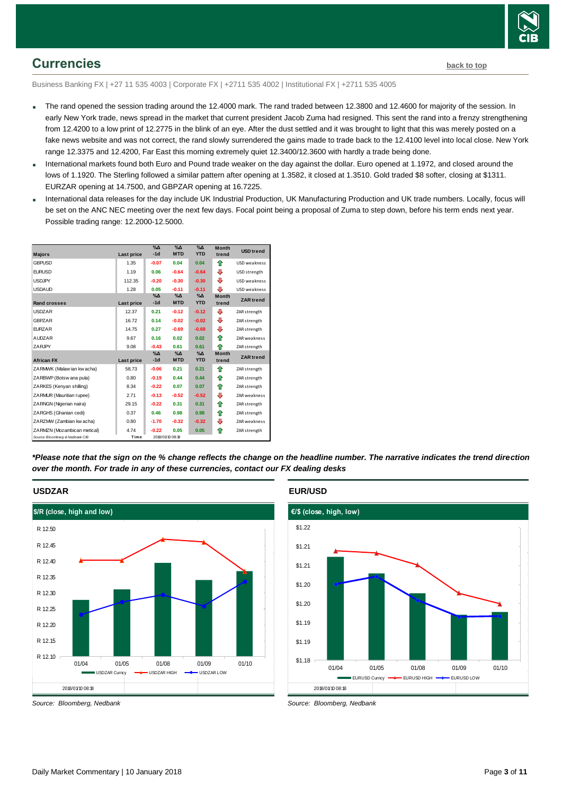

### <span id="page-2-0"></span>**Currencies [back to top](#page-0-0)**

Business Banking FX | +27 11 535 4003 | Corporate FX | +2711 535 4002 | Institutional FX | +2711 535 4005

- The rand opened the session trading around the 12.4000 mark. The rand traded between 12.3800 and 12.4600 for majority of the session. In early New York trade, news spread in the market that current president Jacob Zuma had resigned. This sent the rand into a frenzy strengthening from 12.4200 to a low print of 12.2775 in the blink of an eye. After the dust settled and it was brought to light that this was merely posted on a fake news website and was not correct, the rand slowly surrendered the gains made to trade back to the 12.4100 level into local close. New York range 12.3375 and 12.4200, Far East this morning extremely quiet 12.3400/12.3600 with hardly a trade being done.
- International markets found both Euro and Pound trade weaker on the day against the dollar. Euro opened at 1.1972, and closed around the lows of 1.1920. The Sterling followed a similar pattern after opening at 1.3582, it closed at 1.3510. Gold traded \$8 softer, closing at \$1311. EURZAR opening at 14.7500, and GBPZAR opening at 16.7225.
- International data releases for the day include UK Industrial Production, UK Manufacturing Production and UK trade numbers. Locally, focus will be set on the ANC NEC meeting over the next few days. Focal point being a proposal of Zuma to step down, before his term ends next year. Possible trading range: 12.2000-12.5000.



*\*Please note that the sign on the % change reflects the change on the headline number. The narrative indicates the trend direction over the month. For trade in any of these currencies, contact our FX dealing desks*



*Source: Bloomberg, Nedbank*

#### **EUR/USD**



*Source: Bloomberg, Nedbank*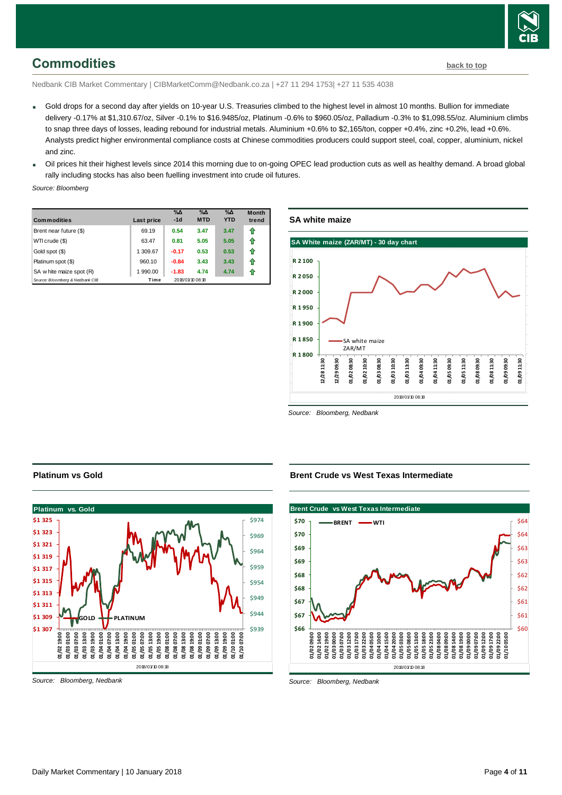

# <span id="page-3-0"></span>**Commodities [back to top](#page-0-0)**

Nedbank CIB Market Commentary | CIBMarketComm@Nedbank.co.za | +27 11 294 1753| +27 11 535 4038

- Gold drops for a second day after yields on 10-year U.S. Treasuries climbed to the highest level in almost 10 months. Bullion for immediate delivery -0.17% at \$1,310.67/oz, Silver -0.1% to \$16.9485/oz, Platinum -0.6% to \$960.05/oz, Palladium -0.3% to \$1,098.55/oz. Aluminium climbs to snap three days of losses, leading rebound for industrial metals. Aluminium +0.6% to \$2,165/ton, copper +0.4%, zinc +0.2%, lead +0.6%. Analysts predict higher environmental compliance costs at Chinese commodities producers could support steel, coal, copper, aluminium, nickel and zinc.
- Oil prices hit their highest levels since 2014 this morning due to on-going OPEC lead production cuts as well as healthy demand. A broad global rally including stocks has also been fuelling investment into crude oil futures.

*Source: Bloomberg*

| <b>Commodities</b>              | Last price | $\%$ $\Delta$<br>$-1d$ | $\%$ $\Delta$<br><b>MTD</b> | $\%$ $\Delta$<br><b>YTD</b> | <b>Month</b><br>trend |
|---------------------------------|------------|------------------------|-----------------------------|-----------------------------|-----------------------|
| Brent near future (\$)          | 69.19      | 0.54                   | 3.47                        | 3.47                        | ⇑                     |
| WTI crude (\$)                  | 63.47      | 0.81                   | 5.05                        | 5.05                        | ⇑                     |
| Gold spot (\$)                  | 1 309.67   | $-0.17$                | 0.53                        | 0.53                        | ⇑                     |
| Platinum spot (\$)              | 960.10     | $-0.84$                | 3.43                        | 3.43                        | 11                    |
| SA w hite maize spot (R)        | 1 990.00   | $-1.83$                | 4.74                        | 4.74                        | 1                     |
| Source: Bloomberg & Nedbank CIB | Time       |                        | 2018/01/10 08:18            |                             |                       |

#### **SA white maize**



*Source: Bloomberg, Nedbank*

#### **Platinum vs Gold**



*Source: Bloomberg, Nedbank*

#### **Brent Crude vs West Texas Intermediate**



*Source: Bloomberg, Nedbank*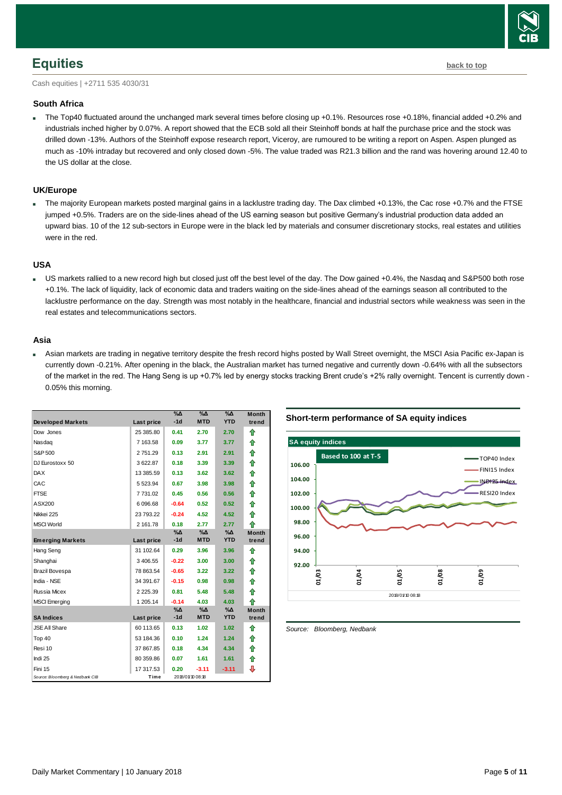

### <span id="page-4-0"></span>**Equities [back to top](#page-0-0)**

Cash equities | +2711 535 4030/31

#### **South Africa**

 The Top40 fluctuated around the unchanged mark several times before closing up +0.1%. Resources rose +0.18%, financial added +0.2% and industrials inched higher by 0.07%. A report showed that the ECB sold all their Steinhoff bonds at half the purchase price and the stock was drilled down -13%. Authors of the Steinhoff expose research report, Viceroy, are rumoured to be writing a report on Aspen. Aspen plunged as much as -10% intraday but recovered and only closed down -5%. The value traded was R21.3 billion and the rand was hovering around 12.40 to the US dollar at the close.

#### **UK/Europe**

The majority European markets posted marginal gains in a lacklustre trading day. The Dax climbed +0.13%, the Cac rose +0.7% and the FTSE jumped +0.5%. Traders are on the side-lines ahead of the US earning season but positive Germany's industrial production data added an upward bias. 10 of the 12 sub-sectors in Europe were in the black led by materials and consumer discretionary stocks, real estates and utilities were in the red.

#### **USA**

 US markets rallied to a new record high but closed just off the best level of the day. The Dow gained +0.4%, the Nasdaq and S&P500 both rose +0.1%. The lack of liquidity, lack of economic data and traders waiting on the side-lines ahead of the earnings season all contributed to the lacklustre performance on the day. Strength was most notably in the healthcare, financial and industrial sectors while weakness was seen in the real estates and telecommunications sectors.

#### **Asia**

 Asian markets are trading in negative territory despite the fresh record highs posted by Wall Street overnight, the MSCI Asia Pacific ex-Japan is currently down -0.21%. After opening in the black, the Australian market has turned negative and currently down -0.64% with all the subsectors of the market in the red. The Hang Seng is up +0.7% led by energy stocks tracking Brent crude's +2% rally overnight. Tencent is currently down -0.05% this morning.

|                                 |               | $\overline{\%}\Lambda$ | $\%$ $\Delta$    | $\%$ $\Delta$<br><b>YTD</b> | <b>Month</b> |
|---------------------------------|---------------|------------------------|------------------|-----------------------------|--------------|
| <b>Developed Markets</b>        | Last price    | $-1d$                  | <b>MTD</b>       |                             | trend        |
| Dow Jones                       | 25 385.80     | 0.41                   | 2.70             | 2.70                        | ⇑            |
| Nasdag                          | 7 163.58      | 0.09                   | 3.77             | 3.77                        | ⇑            |
| S&P 500                         | 2751.29       | 0.13                   | 2.91             | 2.91                        | ⇑            |
| DJ Eurostoxx 50                 | 3622.87       | 0.18                   | 3.39             | 3.39                        | ⇑            |
| <b>DAX</b>                      | 13 385.59     | 0.13                   | 3.62             | 3.62                        | ⇑            |
| CAC                             | 5 5 2 3 . 9 4 | 0.67                   | 3.98             | 3.98                        | 合            |
| <b>FTSE</b>                     | 7 731.02      | 0.45                   | 0.56             | 0.56                        | ⇑            |
| ASX200                          | 6 096.68      | $-0.64$                | 0.52             | 0.52                        | ⇑            |
| Nikkei 225                      | 23 793.22     | $-0.24$                | 4.52             | 4.52                        | ⇑            |
| <b>MSCI World</b>               | 2 161.78      | 0.18                   | 2.77             | 2.77                        | ♠            |
|                                 |               | $\%$ $\Delta$          | %∆               | $\%$ $\Delta$               | <b>Month</b> |
| <b>Emerging Markets</b>         | Last price    | $-1d$                  | <b>MTD</b>       | <b>YTD</b>                  | trend        |
| Hang Seng                       | 31 102.64     | 0.29                   | 3.96             | 3.96                        | ⇑            |
| Shanghai                        | 3 406.55      | $-0.22$                | 3.00             | 3.00                        | ⇑            |
| Brazil Bovespa                  | 78 863.54     | $-0.65$                | 3.22             | 3.22                        | ⇑            |
| India - NSE                     | 34 391.67     | $-0.15$                | 0.98             | 0.98                        | ⇑            |
| Russia Micex                    | 2 2 2 5 . 3 9 | 0.81                   | 5.48             | 5.48                        | ♠            |
| <b>MSCI</b> Emerging            | 1 205.14      | $-0.14$                | 4.03             | 4.03                        | ♠            |
|                                 |               | $\%$ $\Delta$          | %Δ               | $\%$ $\Delta$               | <b>Month</b> |
| <b>SA Indices</b>               | Last price    | $-1d$                  | <b>MTD</b>       | <b>YTD</b>                  | trend        |
| <b>JSE All Share</b>            | 60 113.65     | 0.13                   | 1.02             | 1.02                        | ⇑            |
| Top 40                          | 53 184.36     | 0.10                   | 1.24             | 1.24                        | ⇑            |
| Resi 10                         | 37 867.85     | 0.18                   | 4.34             | 4.34                        | ⇑            |
| Indi 25                         | 80 359.86     | 0.07                   | 1.61             | 1.61                        | 合            |
| Fini 15                         | 17 317.53     | 0.20                   | $-3.11$          | $-3.11$                     | ⊕            |
| Source: Bloomberg & Nedbank CIB | Time          |                        | 2018/01/10 08:18 |                             |              |

**Short-term performance of SA equity indices**



<span id="page-4-1"></span>*Source: Bloomberg, Nedbank*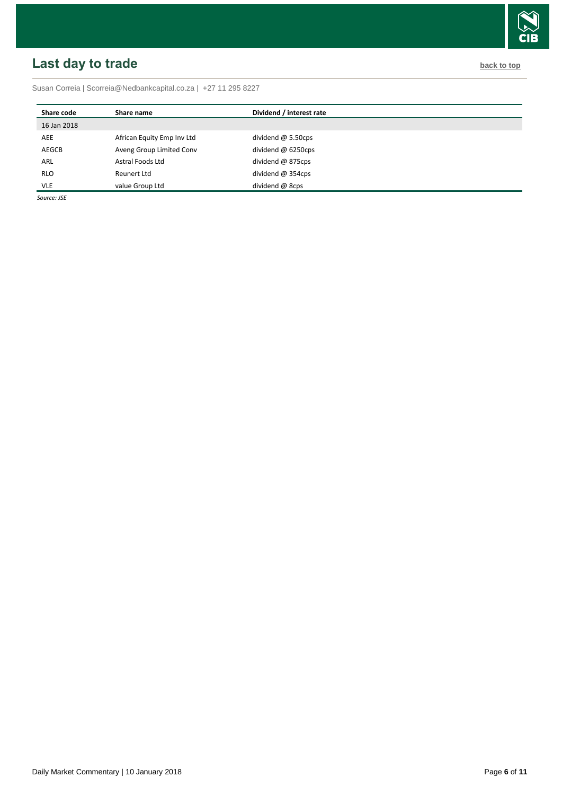# <span id="page-5-0"></span>**Last day to trade back to the contract of the contract of the contract of the contract of the contract of the contract of the contract of the contract of the contract of the contract of the contract of the contract of t**

Susan Correia [| Scorreia@Nedbankcapital.co.za](mailto:Scorreia@Nedbankcapital.co.za) | +27 11 295 8227

| Share code  | Share name                 | Dividend / interest rate  |
|-------------|----------------------------|---------------------------|
| 16 Jan 2018 |                            |                           |
| AEE         | African Equity Emp Inv Ltd | dividend $\omega$ 5.50cps |
| AEGCB       | Aveng Group Limited Conv   | dividend $@6250$ cps      |
| ARL         | Astral Foods Ltd           | dividend @ 875cps         |
| <b>RLO</b>  | Reunert Ltd                | dividend $@354$ cps       |
| <b>VLE</b>  | value Group Ltd            | dividend @ 8cps           |

*Source: JSE*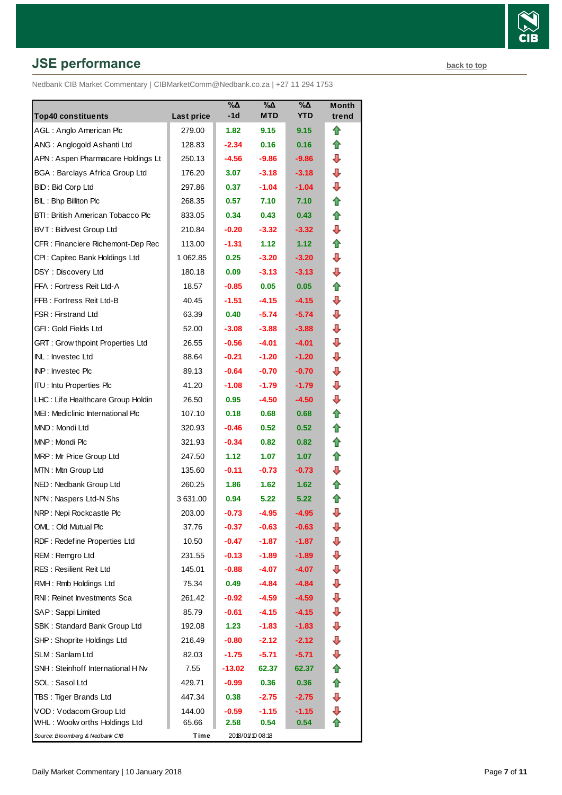# **JSE performance [back to top](#page-0-0) back to top**

Nedbank CIB Market Commentary | CIBMarketComm@Nedbank.co.za | +27 11 294 1753

| <b>Top40 constituents</b>             | Last price | $\%$ $\Delta$<br>-1d | $\%$ $\Delta$<br><b>MTD</b> | %Δ<br><b>YTD</b> | Month<br>trend |
|---------------------------------------|------------|----------------------|-----------------------------|------------------|----------------|
| AGL: Anglo American Plc               | 279.00     | 1.82                 | 9.15                        | 9.15             | ⇑              |
| ANG: Anglogold Ashanti Ltd            | 128.83     | $-2.34$              | 0.16                        | 0.16             | ⇑              |
| APN: Aspen Pharmacare Holdings Lt     | 250.13     | $-4.56$              | $-9.86$                     | -9.86            | ⊕              |
| <b>BGA: Barclays Africa Group Ltd</b> | 176.20     | 3.07                 | $-3.18$                     | $-3.18$          | ⊕              |
| BID: Bid Corp Ltd                     | 297.86     | 0.37                 | $-1.04$                     | $-1.04$          | ⇩              |
| BIL: Bhp Billiton Plc                 | 268.35     | 0.57                 | 7.10                        | 7.10             | ⇑              |
| BTI: British American Tobacco Plc     | 833.05     | 0.34                 | 0.43                        | 0.43             | ⇑              |
| <b>BVT: Bidvest Group Ltd</b>         | 210.84     | -0.20                | $-3.32$                     | $-3.32$          | ⊕              |
| CFR : Financiere Richemont-Dep Rec    | 113.00     | $-1.31$              | 1.12                        | 1.12             | ⇑              |
| CPI: Capitec Bank Holdings Ltd        | 1 062.85   | 0.25                 | $-3.20$                     | $-3.20$          | ⇩              |
| DSY: Discovery Ltd                    | 180.18     | 0.09                 | $-3.13$                     | $-3.13$          | ⇩              |
| FFA: Fortress Reit Ltd-A              | 18.57      | $-0.85$              | 0.05                        | 0.05             | ⇑              |
| FFB: Fortress Reit Ltd-B              | 40.45      | $-1.51$              | $-4.15$                     | $-4.15$          | ⇩              |
| <b>FSR: Firstrand Ltd</b>             | 63.39      | 0.40                 | $-5.74$                     | $-5.74$          | ⊕              |
| GFI: Gold Fields Ltd                  | 52.00      | $-3.08$              | $-3.88$                     | $-3.88$          | ⊕              |
| GRT : Grow thpoint Properties Ltd     | 26.55      | $-0.56$              | $-4.01$                     | $-4.01$          | ⊕              |
| INL: Investec Ltd                     | 88.64      | $-0.21$              | $-1.20$                     | $-1.20$          | ⇩              |
| INP: Investec Plc                     | 89.13      | $-0.64$              | $-0.70$                     | $-0.70$          | ⇩              |
| <b>ITU: Intu Properties Plc</b>       | 41.20      | $-1.08$              | $-1.79$                     | $-1.79$          | ⇩              |
| LHC: Life Healthcare Group Holdin     | 26.50      | 0.95                 | $-4.50$                     | $-4.50$          | ⇩              |
| MEI: Mediclinic International Plc     | 107.10     | 0.18                 | 0.68                        | 0.68             | ⇑              |
| MND: Mondi Ltd                        | 320.93     | $-0.46$              | 0.52                        | 0.52             | ⇑              |
| MNP: Mondi Plc                        | 321.93     | $-0.34$              | 0.82                        | 0.82             | ⇑              |
| MRP: Mr Price Group Ltd               | 247.50     | 1.12                 | 1.07                        | 1.07             | ⇑              |
| MTN: Mtn Group Ltd                    | 135.60     | $-0.11$              | $-0.73$                     | $-0.73$          | ⊕              |
| NED: Nedbank Group Ltd                | 260.25     | 1.86                 | 1.62                        | 1.62             | ⇑              |
| NPN: Naspers Ltd-N Shs                | 3 631.00   | 0.94                 | 5.22                        | 5.22             | Ħ              |
| NRP: Nepi Rockcastle Plc              | 203.00     | $-0.73$              | $-4.95$                     | $-4.95$          | ⇩              |
| OML: Old Mutual Plc                   | 37.76      | $-0.37$              | $-0.63$                     | $-0.63$          | ⇩              |
| RDF: Redefine Properties Ltd          | 10.50      | $-0.47$              | $-1.87$                     | $-1.87$          | ⇩              |
| REM: Remgro Ltd                       | 231.55     | $-0.13$              | $-1.89$                     | -1.89            | ⇩              |
| <b>RES: Resilient Reit Ltd</b>        | 145.01     | $-0.88$              | $-4.07$                     | $-4.07$          | ⇩              |
| RMH: Rmb Holdings Ltd                 | 75.34      | 0.49                 | $-4.84$                     | -4.84            | ⇩              |
| RNI: Reinet Investments Sca           | 261.42     | -0.92                | $-4.59$                     | $-4.59$          | ⇩              |
| SAP: Sappi Limited                    | 85.79      | $-0.61$              | $-4.15$                     | $-4.15$          | ⊕              |
| SBK: Standard Bank Group Ltd          | 192.08     | 1.23                 | $-1.83$                     | $-1.83$          | ⇩              |
| SHP: Shoprite Holdings Ltd            | 216.49     | $-0.80$              | $-2.12$                     | $-2.12$          | ⇩              |
| SLM: Sanlam Ltd                       | 82.03      | $-1.75$              | $-5.71$                     | -5.71            | ⇩              |
| SNH: Steinhoff International H Nv     | 7.55       | $-13.02$             | 62.37                       | 62.37            | ⇑              |
| SOL: Sasol Ltd                        | 429.71     | $-0.99$              | 0.36                        | 0.36             | ⇑              |
| TBS: Tiger Brands Ltd                 | 447.34     | 0.38                 | $-2.75$                     | $-2.75$          | ⇩              |
| VOD: Vodacom Group Ltd                | 144.00     | $-0.59$              | $-1.15$                     | $-1.15$          | ⇩              |
| WHL: Woolw orths Holdings Ltd         | 65.66      | 2.58                 | 0.54                        | 0.54             | ⇑              |
| Source: Bloomberg & Nedbank CIB       | Time       |                      | 2018/01/10 08:18            |                  |                |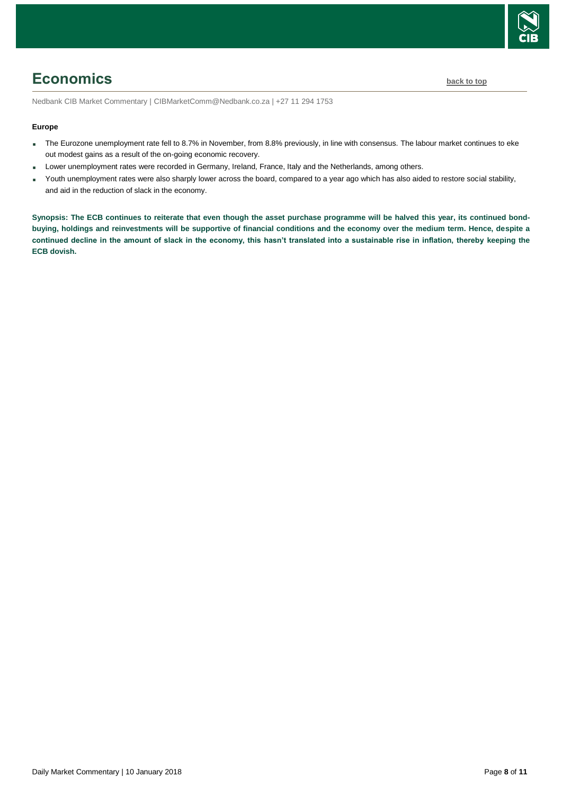

# <span id="page-7-0"></span>**Economics [back to top](#page-0-0)**

Nedbank CIB Market Commentary | CIBMarketComm@Nedbank.co.za | +27 11 294 1753

#### **Europe**

- The Eurozone unemployment rate fell to 8.7% in November, from 8.8% previously, in line with consensus. The labour market continues to eke out modest gains as a result of the on-going economic recovery.
- Lower unemployment rates were recorded in Germany, Ireland, France, Italy and the Netherlands, among others.
- Youth unemployment rates were also sharply lower across the board, compared to a year ago which has also aided to restore social stability, and aid in the reduction of slack in the economy.

**Synopsis: The ECB continues to reiterate that even though the asset purchase programme will be halved this year, its continued bondbuying, holdings and reinvestments will be supportive of financial conditions and the economy over the medium term. Hence, despite a continued decline in the amount of slack in the economy, this hasn't translated into a sustainable rise in inflation, thereby keeping the ECB dovish.**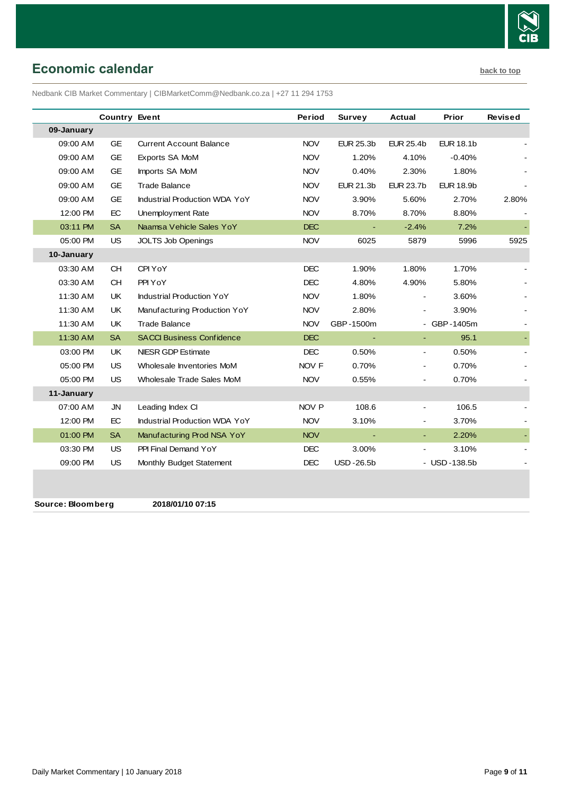

# <span id="page-8-0"></span>**Economic calendar [back to top](#page-0-0)**

Nedbank CIB Market Commentary | CIBMarketComm@Nedbank.co.za | +27 11 294 1753

|            | <b>Country Event</b> |                                      | Period           | Survey           | <b>Actual</b>    | Prior            | <b>Revised</b> |
|------------|----------------------|--------------------------------------|------------------|------------------|------------------|------------------|----------------|
| 09-January |                      |                                      |                  |                  |                  |                  |                |
| 09:00 AM   | <b>GE</b>            | <b>Current Account Balance</b>       | <b>NOV</b>       | <b>EUR 25.3b</b> | <b>EUR 25.4b</b> | <b>EUR 18.1b</b> |                |
| 09:00 AM   | <b>GE</b>            | Exports SA MoM                       | <b>NOV</b>       | 1.20%            | 4.10%            | $-0.40%$         |                |
| 09:00 AM   | <b>GE</b>            | Imports SA MoM                       | <b>NOV</b>       | 0.40%            | 2.30%            | 1.80%            |                |
| 09:00 AM   | <b>GE</b>            | <b>Trade Balance</b>                 | <b>NOV</b>       | EUR 21.3b        | <b>EUR 23.7b</b> | <b>EUR 18.9b</b> |                |
| 09:00 AM   | <b>GE</b>            | Industrial Production WDA YoY        | <b>NOV</b>       | 3.90%            | 5.60%            | 2.70%            | 2.80%          |
| 12:00 PM   | EC                   | Unemployment Rate                    | <b>NOV</b>       | 8.70%            | 8.70%            | 8.80%            |                |
| 03:11 PM   | <b>SA</b>            | Naamsa Vehicle Sales YoY             | <b>DEC</b>       | $\blacksquare$   | $-2.4%$          | 7.2%             |                |
| 05:00 PM   | US                   | <b>JOLTS Job Openings</b>            | <b>NOV</b>       | 6025             | 5879             | 5996             | 5925           |
| 10-January |                      |                                      |                  |                  |                  |                  |                |
| 03:30 AM   | <b>CH</b>            | CPI YoY                              | DEC              | 1.90%            | 1.80%            | 1.70%            |                |
| 03:30 AM   | <b>CH</b>            | PPI YoY                              | <b>DEC</b>       | 4.80%            | 4.90%            | 5.80%            |                |
| 11:30 AM   | UK.                  | <b>Industrial Production YoY</b>     | <b>NOV</b>       | 1.80%            | $\sim$           | 3.60%            |                |
| 11:30 AM   | UK                   | Manufacturing Production YoY         | <b>NOV</b>       | 2.80%            |                  | 3.90%            |                |
| 11:30 AM   | UK                   | <b>Trade Balance</b>                 | <b>NOV</b>       | GBP-1500m        |                  | - GBP-1405m      |                |
| 11:30 AM   | <b>SA</b>            | <b>SACCI Business Confidence</b>     | <b>DEC</b>       |                  | $\sim$           | 95.1             |                |
| 03:00 PM   | UK                   | <b>NIESR GDP Estimate</b>            | <b>DEC</b>       | 0.50%            | ÷.               | 0.50%            |                |
| 05:00 PM   | US                   | Wholesale Inventories MoM            | NOV <sub>F</sub> | 0.70%            | $\blacksquare$   | 0.70%            |                |
| 05:00 PM   | US.                  | Wholesale Trade Sales MoM            | <b>NOV</b>       | 0.55%            |                  | 0.70%            |                |
| 11-January |                      |                                      |                  |                  |                  |                  |                |
| 07:00 AM   | JN                   | Leading Index CI                     | NOV P            | 108.6            |                  | 106.5            |                |
| 12:00 PM   | EC                   | <b>Industrial Production WDA YoY</b> | <b>NOV</b>       | 3.10%            |                  | 3.70%            |                |
| 01:00 PM   | <b>SA</b>            | Manufacturing Prod NSA YoY           | <b>NOV</b>       | $\blacksquare$   | $\blacksquare$   | 2.20%            |                |
| 03:30 PM   | US                   | PPI Final Demand YoY                 | <b>DEC</b>       | 3.00%            |                  | 3.10%            |                |
| 09:00 PM   | <b>US</b>            | Monthly Budget Statement             | <b>DEC</b>       | <b>USD-26.5b</b> |                  | - USD-138.5b     |                |
|            |                      |                                      |                  |                  |                  |                  |                |
|            |                      |                                      |                  |                  |                  |                  |                |

**Source: Bloomberg 2018/01/10 07:15**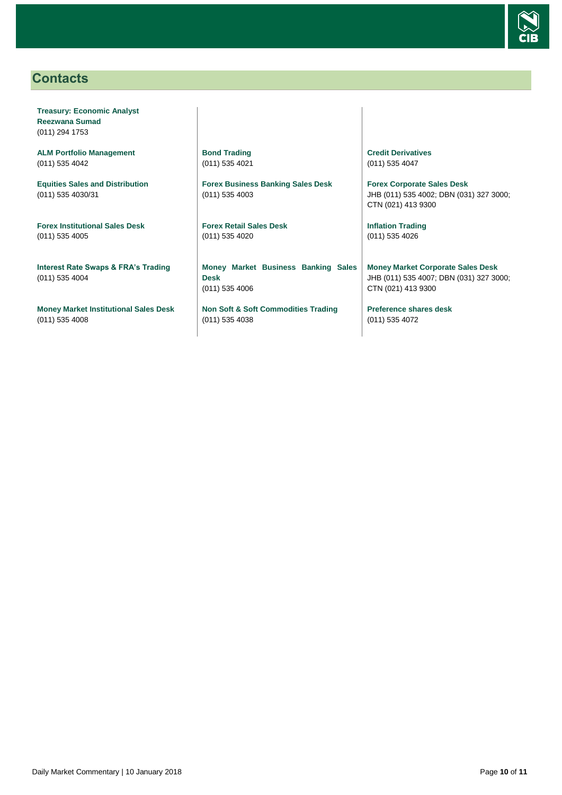

# <span id="page-9-0"></span>**Contacts**

**Treasury: Economic Analyst Reezwana Sumad** (011) 294 1753

**ALM Portfolio Management** (011) 535 4042

**Equities Sales and Distribution** (011) 535 4030/31

**Forex Institutional Sales Desk** (011) 535 4005

**Interest Rate Swaps & FRA's Trading** (011) 535 4004

**Money Market Institutional Sales Desk** (011) 535 4008

**Bond Trading** (011) 535 4021

**Forex Business Banking Sales Desk** (011) 535 4003

**Forex Retail Sales Desk** (011) 535 4020

**Money Market Business Banking Sales Desk** (011) 535 4006

**Non Soft & Soft Commodities Trading** (011) 535 4038

**Credit Derivatives**  (011) 535 4047

**Forex Corporate Sales Desk** JHB (011) 535 4002; DBN (031) 327 3000; CTN (021) 413 9300

**Inflation Trading** (011) 535 4026

**Money Market Corporate Sales Desk** JHB (011) 535 4007; DBN (031) 327 3000; CTN (021) 413 9300

**Preference shares desk** (011) 535 4072